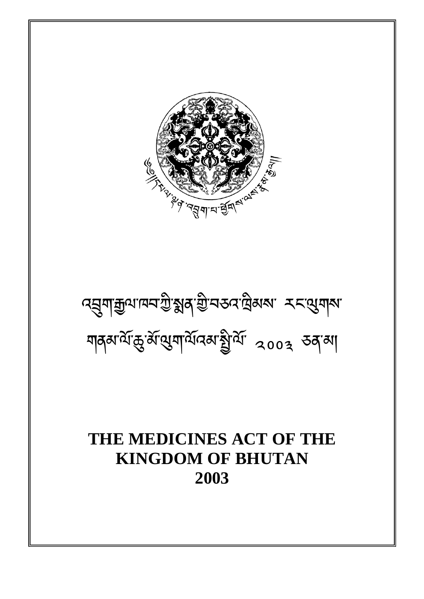# **THE MEDICINES ACT OF THE KINGDOM OF BHUTAN 2003**

འ-ག་ལ་ཁབ་ ི་ན་
ི་བཅའ་ིམས་ རང་གས་ গানকাৰ্য্যকুৰ্মামুম্বাৰ্য্য ব্ৰেগ্ৰে কৰা

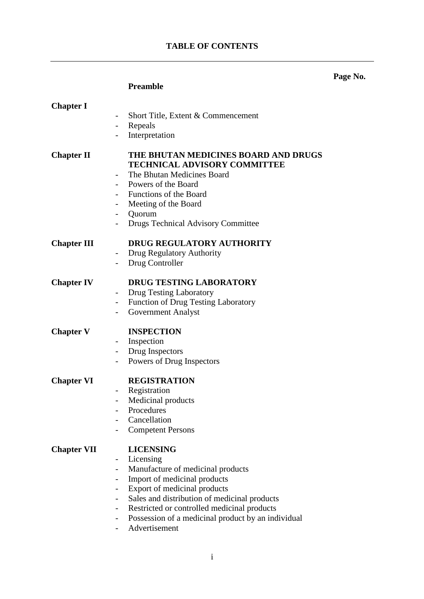# **TABLE OF CONTENTS**

# **Page No.**

# **Preamble**

| <b>Chapter I</b>   |                                                                                                                                                                                                                                                                                                              |
|--------------------|--------------------------------------------------------------------------------------------------------------------------------------------------------------------------------------------------------------------------------------------------------------------------------------------------------------|
|                    | Short Title, Extent & Commencement                                                                                                                                                                                                                                                                           |
|                    | Repeals<br>$\overline{\phantom{0}}$                                                                                                                                                                                                                                                                          |
|                    | Interpretation<br>$\overline{\phantom{0}}$                                                                                                                                                                                                                                                                   |
| <b>Chapter II</b>  | THE BHUTAN MEDICINES BOARD AND DRUGS<br><b>TECHNICAL ADVISORY COMMITTEE</b><br>The Bhutan Medicines Board<br>$\overline{\phantom{0}}$<br>Powers of the Board<br>Functions of the Board<br>Meeting of the Board<br>$\blacksquare$<br>Quorum<br>Drugs Technical Advisory Committee<br>$\overline{\phantom{a}}$ |
| <b>Chapter III</b> | <b>DRUG REGULATORY AUTHORITY</b>                                                                                                                                                                                                                                                                             |
|                    | Drug Regulatory Authority<br>$\overline{\phantom{a}}$                                                                                                                                                                                                                                                        |
|                    | Drug Controller<br>$\overline{\phantom{0}}$                                                                                                                                                                                                                                                                  |
| <b>Chapter IV</b>  | <b>DRUG TESTING LABORATORY</b>                                                                                                                                                                                                                                                                               |
|                    | <b>Drug Testing Laboratory</b><br>$\overline{\phantom{a}}$                                                                                                                                                                                                                                                   |
|                    | <b>Function of Drug Testing Laboratory</b><br>$\blacksquare$                                                                                                                                                                                                                                                 |
|                    | <b>Government Analyst</b>                                                                                                                                                                                                                                                                                    |
| <b>Chapter V</b>   | <b>INSPECTION</b>                                                                                                                                                                                                                                                                                            |
|                    | Inspection                                                                                                                                                                                                                                                                                                   |
|                    | Drug Inspectors<br>$\overline{\phantom{a}}$                                                                                                                                                                                                                                                                  |
|                    | Powers of Drug Inspectors<br>-                                                                                                                                                                                                                                                                               |
| <b>Chapter VI</b>  | <b>REGISTRATION</b>                                                                                                                                                                                                                                                                                          |
|                    | Registration<br>$\qquad \qquad \blacksquare$                                                                                                                                                                                                                                                                 |
|                    | Medicinal products<br>$\blacksquare$                                                                                                                                                                                                                                                                         |
|                    | Procedures<br>Cancellation                                                                                                                                                                                                                                                                                   |
|                    | <b>Competent Persons</b>                                                                                                                                                                                                                                                                                     |
|                    |                                                                                                                                                                                                                                                                                                              |
| <b>Chapter VII</b> | <b>LICENSING</b>                                                                                                                                                                                                                                                                                             |
|                    | Licensing                                                                                                                                                                                                                                                                                                    |
|                    | Manufacture of medicinal products<br>$\overline{\phantom{0}}$                                                                                                                                                                                                                                                |
|                    | Import of medicinal products                                                                                                                                                                                                                                                                                 |
|                    | Export of medicinal products                                                                                                                                                                                                                                                                                 |
|                    | Sales and distribution of medicinal products<br>$\overline{\phantom{0}}$                                                                                                                                                                                                                                     |
|                    | Restricted or controlled medicinal products                                                                                                                                                                                                                                                                  |
|                    | Possession of a medicinal product by an individual                                                                                                                                                                                                                                                           |
|                    | Advertisement                                                                                                                                                                                                                                                                                                |
|                    |                                                                                                                                                                                                                                                                                                              |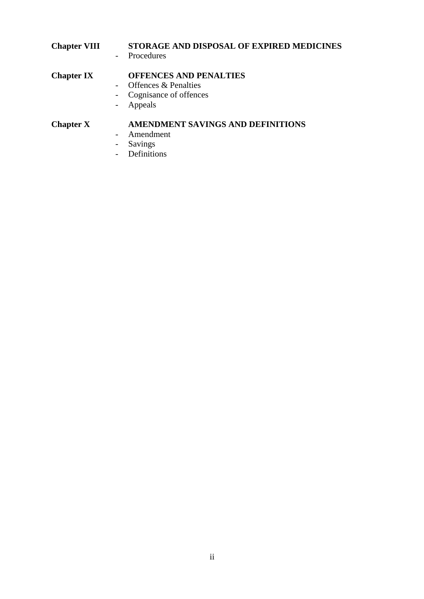| <b>Chapter VIII</b> | STORAGE AND DISPOSAL OF EXPIRED MEDICINES<br>- Procedures |
|---------------------|-----------------------------------------------------------|
| <b>Chapter IX</b>   | <b>OFFENCES AND PENALTIES</b>                             |
|                     | Offences & Penalties                                      |
|                     | Cognisance of offences<br>$ \,$                           |
|                     | Appeals                                                   |
| <b>Chapter X</b>    | AMENDMENT SAVINGS AND DEFINITIONS                         |
|                     | Amendment                                                 |
|                     | Savings                                                   |
|                     |                                                           |

- Definitions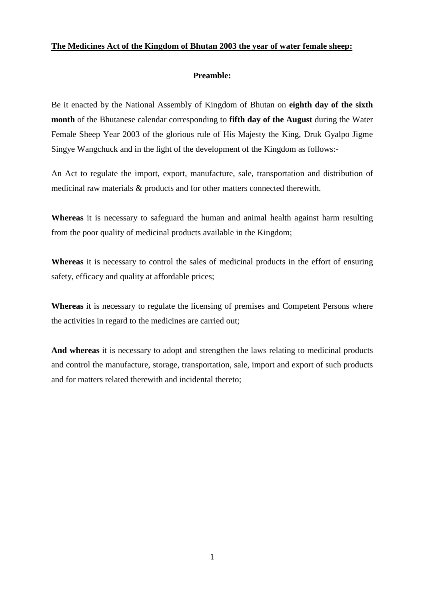# **The Medicines Act of the Kingdom of Bhutan 2003 the year of water female sheep:**

# **Preamble:**

Be it enacted by the National Assembly of Kingdom of Bhutan on **eighth day of the sixth month** of the Bhutanese calendar corresponding to **fifth day of the August** during the Water Female Sheep Year 2003 of the glorious rule of His Majesty the King, Druk Gyalpo Jigme Singye Wangchuck and in the light of the development of the Kingdom as follows:-

An Act to regulate the import, export, manufacture, sale, transportation and distribution of medicinal raw materials & products and for other matters connected therewith.

**Whereas** it is necessary to safeguard the human and animal health against harm resulting from the poor quality of medicinal products available in the Kingdom;

**Whereas** it is necessary to control the sales of medicinal products in the effort of ensuring safety, efficacy and quality at affordable prices;

**Whereas** it is necessary to regulate the licensing of premises and Competent Persons where the activities in regard to the medicines are carried out;

**And whereas** it is necessary to adopt and strengthen the laws relating to medicinal products and control the manufacture, storage, transportation, sale, import and export of such products and for matters related therewith and incidental thereto;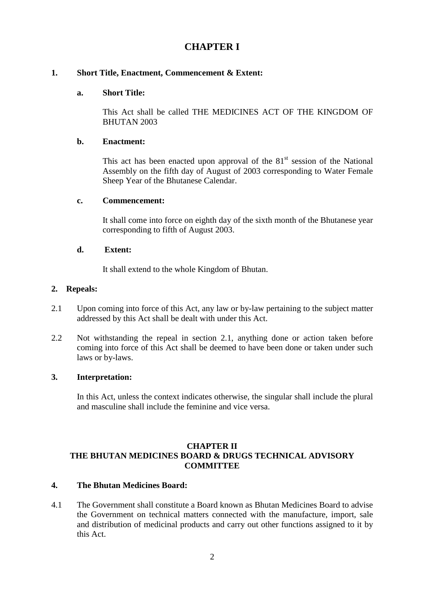# **CHAPTER I**

# **1. Short Title, Enactment, Commencement & Extent:**

#### **a. Short Title:**

This Act shall be called THE MEDICINES ACT OF THE KINGDOM OF BHUTAN 2003

#### **b. Enactment:**

This act has been enacted upon approval of the  $81<sup>st</sup>$  session of the National Assembly on the fifth day of August of 2003 corresponding to Water Female Sheep Year of the Bhutanese Calendar.

# **c. Commencement:**

It shall come into force on eighth day of the sixth month of the Bhutanese year corresponding to fifth of August 2003.

#### **d. Extent:**

It shall extend to the whole Kingdom of Bhutan.

#### **2. Repeals:**

- 2.1 Upon coming into force of this Act, any law or by-law pertaining to the subject matter addressed by this Act shall be dealt with under this Act.
- 2.2 Not withstanding the repeal in section 2.1, anything done or action taken before coming into force of this Act shall be deemed to have been done or taken under such laws or by-laws.

#### **3. Interpretation:**

In this Act, unless the context indicates otherwise, the singular shall include the plural and masculine shall include the feminine and vice versa.

# **CHAPTER II THE BHUTAN MEDICINES BOARD & DRUGS TECHNICAL ADVISORY COMMITTEE**

# **4. The Bhutan Medicines Board:**

4.1 The Government shall constitute a Board known as Bhutan Medicines Board to advise the Government on technical matters connected with the manufacture, import, sale and distribution of medicinal products and carry out other functions assigned to it by this Act.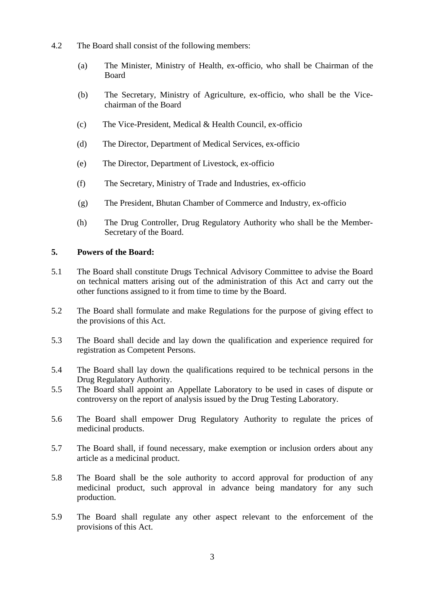- 4.2 The Board shall consist of the following members:
	- (a) The Minister, Ministry of Health, ex-officio, who shall be Chairman of the Board
	- (b) The Secretary, Ministry of Agriculture, ex-officio, who shall be the Vicechairman of the Board
	- (c) The Vice-President, Medical & Health Council, ex-officio
	- (d) The Director, Department of Medical Services, ex-officio
	- (e) The Director, Department of Livestock, ex-officio
	- (f) The Secretary, Ministry of Trade and Industries, ex-officio
	- (g) The President, Bhutan Chamber of Commerce and Industry, ex-officio
	- (h) The Drug Controller, Drug Regulatory Authority who shall be the Member-Secretary of the Board.

# **5. Powers of the Board:**

- 5.1 The Board shall constitute Drugs Technical Advisory Committee to advise the Board on technical matters arising out of the administration of this Act and carry out the other functions assigned to it from time to time by the Board.
- 5.2 The Board shall formulate and make Regulations for the purpose of giving effect to the provisions of this Act.
- 5.3 The Board shall decide and lay down the qualification and experience required for registration as Competent Persons.
- 5.4 The Board shall lay down the qualifications required to be technical persons in the Drug Regulatory Authority.
- 5.5 The Board shall appoint an Appellate Laboratory to be used in cases of dispute or controversy on the report of analysis issued by the Drug Testing Laboratory.
- 5.6 The Board shall empower Drug Regulatory Authority to regulate the prices of medicinal products.
- 5.7 The Board shall, if found necessary, make exemption or inclusion orders about any article as a medicinal product.
- 5.8 The Board shall be the sole authority to accord approval for production of any medicinal product, such approval in advance being mandatory for any such production.
- 5.9 The Board shall regulate any other aspect relevant to the enforcement of the provisions of this Act.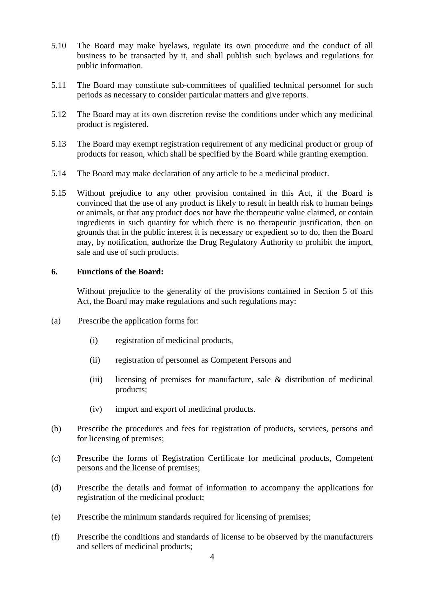- 5.10 The Board may make byelaws, regulate its own procedure and the conduct of all business to be transacted by it, and shall publish such byelaws and regulations for public information.
- 5.11 The Board may constitute sub-committees of qualified technical personnel for such periods as necessary to consider particular matters and give reports.
- 5.12 The Board may at its own discretion revise the conditions under which any medicinal product is registered.
- 5.13 The Board may exempt registration requirement of any medicinal product or group of products for reason, which shall be specified by the Board while granting exemption.
- 5.14 The Board may make declaration of any article to be a medicinal product.
- 5.15 Without prejudice to any other provision contained in this Act, if the Board is convinced that the use of any product is likely to result in health risk to human beings or animals, or that any product does not have the therapeutic value claimed, or contain ingredients in such quantity for which there is no therapeutic justification, then on grounds that in the public interest it is necessary or expedient so to do, then the Board may, by notification, authorize the Drug Regulatory Authority to prohibit the import, sale and use of such products.

#### **6. Functions of the Board:**

Without prejudice to the generality of the provisions contained in Section 5 of this Act, the Board may make regulations and such regulations may:

- (a) Prescribe the application forms for:
	- (i) registration of medicinal products,
	- (ii) registration of personnel as Competent Persons and
	- (iii) licensing of premises for manufacture, sale & distribution of medicinal products;
	- (iv) import and export of medicinal products.
- (b) Prescribe the procedures and fees for registration of products, services, persons and for licensing of premises;
- (c) Prescribe the forms of Registration Certificate for medicinal products, Competent persons and the license of premises;
- (d) Prescribe the details and format of information to accompany the applications for registration of the medicinal product;
- (e) Prescribe the minimum standards required for licensing of premises;
- (f) Prescribe the conditions and standards of license to be observed by the manufacturers and sellers of medicinal products;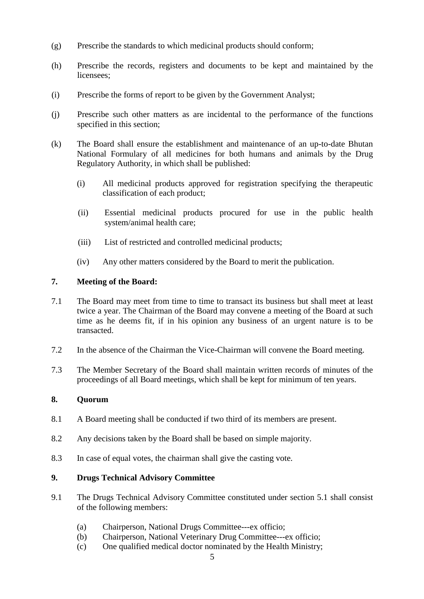- (g) Prescribe the standards to which medicinal products should conform;
- (h) Prescribe the records, registers and documents to be kept and maintained by the licensees;
- (i) Prescribe the forms of report to be given by the Government Analyst;
- (j) Prescribe such other matters as are incidental to the performance of the functions specified in this section;
- (k) The Board shall ensure the establishment and maintenance of an up-to-date Bhutan National Formulary of all medicines for both humans and animals by the Drug Regulatory Authority, in which shall be published:
	- (i) All medicinal products approved for registration specifying the therapeutic classification of each product;
	- (ii) Essential medicinal products procured for use in the public health system/animal health care;
	- (iii) List of restricted and controlled medicinal products;
	- (iv) Any other matters considered by the Board to merit the publication.

# **7. Meeting of the Board:**

- 7.1 The Board may meet from time to time to transact its business but shall meet at least twice a year. The Chairman of the Board may convene a meeting of the Board at such time as he deems fit, if in his opinion any business of an urgent nature is to be transacted.
- 7.2 In the absence of the Chairman the Vice-Chairman will convene the Board meeting.
- 7.3 The Member Secretary of the Board shall maintain written records of minutes of the proceedings of all Board meetings, which shall be kept for minimum of ten years.

# **8. Quorum**

- 8.1 A Board meeting shall be conducted if two third of its members are present.
- 8.2 Any decisions taken by the Board shall be based on simple majority.
- 8.3 In case of equal votes, the chairman shall give the casting vote.

#### **9. Drugs Technical Advisory Committee**

- 9.1 The Drugs Technical Advisory Committee constituted under section 5.1 shall consist of the following members:
	- (a) Chairperson, National Drugs Committee---ex officio;
	- (b) Chairperson, National Veterinary Drug Committee---ex officio;
	- (c) One qualified medical doctor nominated by the Health Ministry;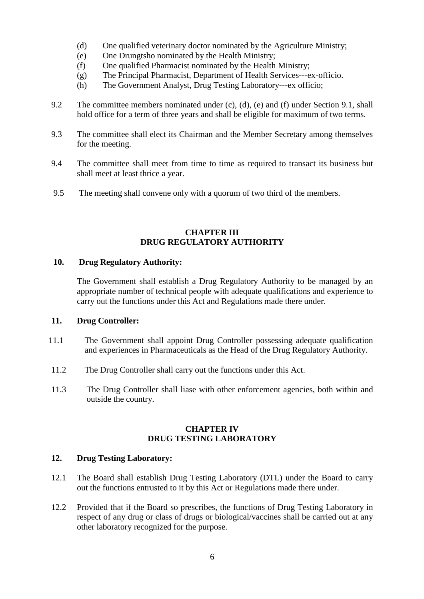- (d) One qualified veterinary doctor nominated by the Agriculture Ministry;
- (e) One Drungtsho nominated by the Health Ministry;
- (f) One qualified Pharmacist nominated by the Health Ministry;
- (g) The Principal Pharmacist, Department of Health Services---ex-officio.
- (h) The Government Analyst, Drug Testing Laboratory---ex officio;
- 9.2 The committee members nominated under (c), (d), (e) and (f) under Section 9.1, shall hold office for a term of three years and shall be eligible for maximum of two terms.
- 9.3 The committee shall elect its Chairman and the Member Secretary among themselves for the meeting.
- 9.4 The committee shall meet from time to time as required to transact its business but shall meet at least thrice a year.
- 9.5 The meeting shall convene only with a quorum of two third of the members.

# **CHAPTER III DRUG REGULATORY AUTHORITY**

#### **10. Drug Regulatory Authority:**

The Government shall establish a Drug Regulatory Authority to be managed by an appropriate number of technical people with adequate qualifications and experience to carry out the functions under this Act and Regulations made there under.

#### **11. Drug Controller:**

- 11.1 The Government shall appoint Drug Controller possessing adequate qualification and experiences in Pharmaceuticals as the Head of the Drug Regulatory Authority.
- 11.2 The Drug Controller shall carry out the functions under this Act.
- 11.3 The Drug Controller shall liase with other enforcement agencies, both within and outside the country.

# **CHAPTER IV DRUG TESTING LABORATORY**

# **12. Drug Testing Laboratory:**

- 12.1 The Board shall establish Drug Testing Laboratory (DTL) under the Board to carry out the functions entrusted to it by this Act or Regulations made there under.
- 12.2 Provided that if the Board so prescribes, the functions of Drug Testing Laboratory in respect of any drug or class of drugs or biological/vaccines shall be carried out at any other laboratory recognized for the purpose.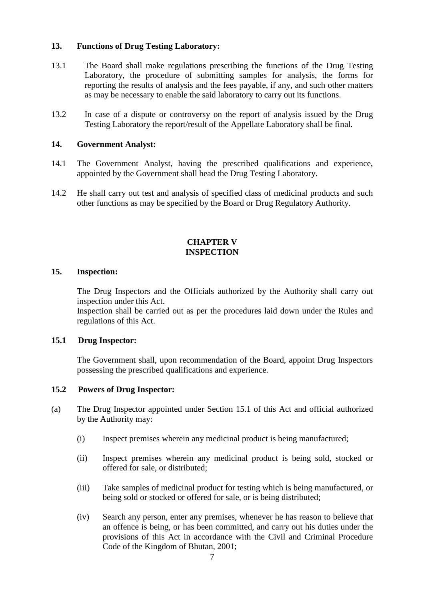# **13. Functions of Drug Testing Laboratory:**

- 13.1 The Board shall make regulations prescribing the functions of the Drug Testing Laboratory, the procedure of submitting samples for analysis, the forms for reporting the results of analysis and the fees payable, if any, and such other matters as may be necessary to enable the said laboratory to carry out its functions.
- 13.2 In case of a dispute or controversy on the report of analysis issued by the Drug Testing Laboratory the report/result of the Appellate Laboratory shall be final.

#### **14. Government Analyst:**

- 14.1 The Government Analyst, having the prescribed qualifications and experience, appointed by the Government shall head the Drug Testing Laboratory.
- 14.2 He shall carry out test and analysis of specified class of medicinal products and such other functions as may be specified by the Board or Drug Regulatory Authority.

#### **CHAPTER V INSPECTION**

#### **15. Inspection:**

The Drug Inspectors and the Officials authorized by the Authority shall carry out inspection under this Act.

Inspection shall be carried out as per the procedures laid down under the Rules and regulations of this Act.

#### **15.1 Drug Inspector:**

The Government shall, upon recommendation of the Board, appoint Drug Inspectors possessing the prescribed qualifications and experience.

#### **15.2 Powers of Drug Inspector:**

- (a) The Drug Inspector appointed under Section 15.1 of this Act and official authorized by the Authority may:
	- (i) Inspect premises wherein any medicinal product is being manufactured;
	- (ii) Inspect premises wherein any medicinal product is being sold, stocked or offered for sale, or distributed;
	- (iii) Take samples of medicinal product for testing which is being manufactured, or being sold or stocked or offered for sale, or is being distributed;
	- (iv) Search any person, enter any premises, whenever he has reason to believe that an offence is being, or has been committed, and carry out his duties under the provisions of this Act in accordance with the Civil and Criminal Procedure Code of the Kingdom of Bhutan, 2001;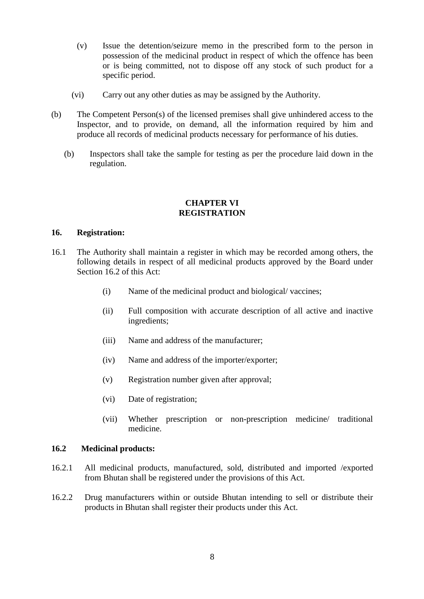- (v) Issue the detention/seizure memo in the prescribed form to the person in possession of the medicinal product in respect of which the offence has been or is being committed, not to dispose off any stock of such product for a specific period.
- (vi) Carry out any other duties as may be assigned by the Authority.
- (b) The Competent Person(s) of the licensed premises shall give unhindered access to the Inspector, and to provide, on demand, all the information required by him and produce all records of medicinal products necessary for performance of his duties.
	- (b) Inspectors shall take the sample for testing as per the procedure laid down in the regulation.

#### **CHAPTER VI REGISTRATION**

#### **16. Registration:**

- 16.1 The Authority shall maintain a register in which may be recorded among others, the following details in respect of all medicinal products approved by the Board under Section 16.2 of this Act:
	- (i) Name of the medicinal product and biological/ vaccines;
	- (ii) Full composition with accurate description of all active and inactive ingredients;
	- (iii) Name and address of the manufacturer;
	- (iv) Name and address of the importer/exporter;
	- (v) Registration number given after approval;
	- (vi) Date of registration;
	- (vii) Whether prescription or non-prescription medicine/ traditional medicine.

# **16.2 Medicinal products:**

- 16.2.1 All medicinal products, manufactured, sold, distributed and imported /exported from Bhutan shall be registered under the provisions of this Act.
- 16.2.2 Drug manufacturers within or outside Bhutan intending to sell or distribute their products in Bhutan shall register their products under this Act.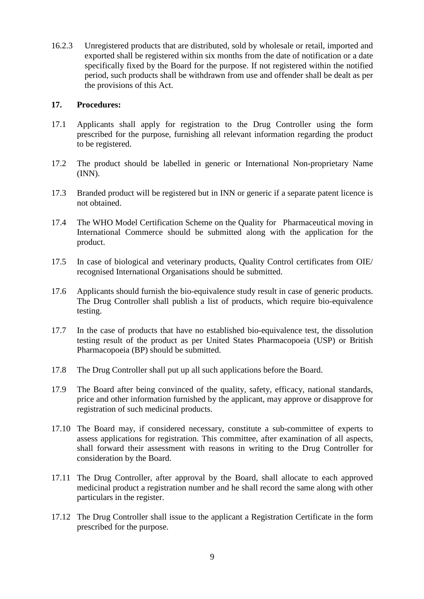16.2.3 Unregistered products that are distributed, sold by wholesale or retail, imported and exported shall be registered within six months from the date of notification or a date specifically fixed by the Board for the purpose. If not registered within the notified period, such products shall be withdrawn from use and offender shall be dealt as per the provisions of this Act.

#### **17. Procedures:**

- 17.1 Applicants shall apply for registration to the Drug Controller using the form prescribed for the purpose, furnishing all relevant information regarding the product to be registered.
- 17.2 The product should be labelled in generic or International Non-proprietary Name (INN).
- 17.3 Branded product will be registered but in INN or generic if a separate patent licence is not obtained.
- 17.4 The WHO Model Certification Scheme on the Quality for Pharmaceutical moving in International Commerce should be submitted along with the application for the product.
- 17.5 In case of biological and veterinary products, Quality Control certificates from OIE/ recognised International Organisations should be submitted.
- 17.6 Applicants should furnish the bio-equivalence study result in case of generic products. The Drug Controller shall publish a list of products, which require bio-equivalence testing.
- 17.7 In the case of products that have no established bio-equivalence test, the dissolution testing result of the product as per United States Pharmacopoeia (USP) or British Pharmacopoeia (BP) should be submitted.
- 17.8 The Drug Controller shall put up all such applications before the Board.
- 17.9 The Board after being convinced of the quality, safety, efficacy, national standards, price and other information furnished by the applicant, may approve or disapprove for registration of such medicinal products.
- 17.10 The Board may, if considered necessary, constitute a sub-committee of experts to assess applications for registration. This committee, after examination of all aspects, shall forward their assessment with reasons in writing to the Drug Controller for consideration by the Board.
- 17.11 The Drug Controller, after approval by the Board, shall allocate to each approved medicinal product a registration number and he shall record the same along with other particulars in the register.
- 17.12 The Drug Controller shall issue to the applicant a Registration Certificate in the form prescribed for the purpose.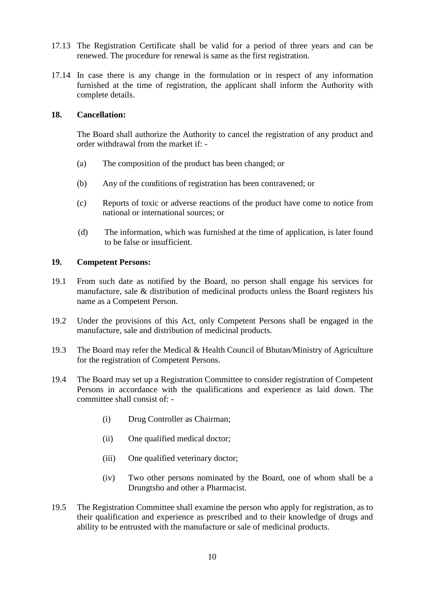- 17.13 The Registration Certificate shall be valid for a period of three years and can be renewed. The procedure for renewal is same as the first registration.
- 17.14 In case there is any change in the formulation or in respect of any information furnished at the time of registration, the applicant shall inform the Authority with complete details.

#### **18. Cancellation:**

The Board shall authorize the Authority to cancel the registration of any product and order withdrawal from the market if: -

- (a) The composition of the product has been changed; or
- (b) Any of the conditions of registration has been contravened; or
- (c) Reports of toxic or adverse reactions of the product have come to notice from national or international sources; or
- (d) The information, which was furnished at the time of application, is later found to be false or insufficient.

#### **19. Competent Persons:**

- 19.1 From such date as notified by the Board, no person shall engage his services for manufacture, sale & distribution of medicinal products unless the Board registers his name as a Competent Person.
- 19.2 Under the provisions of this Act, only Competent Persons shall be engaged in the manufacture, sale and distribution of medicinal products.
- 19.3 The Board may refer the Medical & Health Council of Bhutan/Ministry of Agriculture for the registration of Competent Persons.
- 19.4 The Board may set up a Registration Committee to consider registration of Competent Persons in accordance with the qualifications and experience as laid down. The committee shall consist of: -
	- (i) Drug Controller as Chairman;
	- (ii) One qualified medical doctor;
	- (iii) One qualified veterinary doctor;
	- (iv) Two other persons nominated by the Board, one of whom shall be a Drungtsho and other a Pharmacist.
- 19.5 The Registration Committee shall examine the person who apply for registration, as to their qualification and experience as prescribed and to their knowledge of drugs and ability to be entrusted with the manufacture or sale of medicinal products.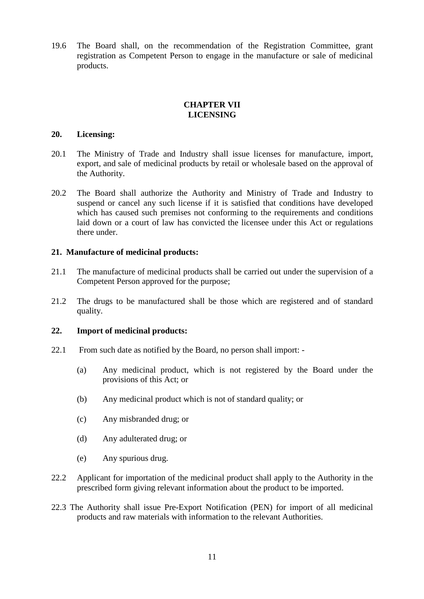19.6 The Board shall, on the recommendation of the Registration Committee, grant registration as Competent Person to engage in the manufacture or sale of medicinal products.

# **CHAPTER VII LICENSING**

#### **20. Licensing:**

- 20.1 The Ministry of Trade and Industry shall issue licenses for manufacture, import, export, and sale of medicinal products by retail or wholesale based on the approval of the Authority.
- 20.2 The Board shall authorize the Authority and Ministry of Trade and Industry to suspend or cancel any such license if it is satisfied that conditions have developed which has caused such premises not conforming to the requirements and conditions laid down or a court of law has convicted the licensee under this Act or regulations there under.

#### **21. Manufacture of medicinal products:**

- 21.1 The manufacture of medicinal products shall be carried out under the supervision of a Competent Person approved for the purpose;
- 21.2 The drugs to be manufactured shall be those which are registered and of standard quality.

#### **22. Import of medicinal products:**

- 22.1 From such date as notified by the Board, no person shall import:
	- (a) Any medicinal product, which is not registered by the Board under the provisions of this Act; or
	- (b) Any medicinal product which is not of standard quality; or
	- (c) Any misbranded drug; or
	- (d) Any adulterated drug; or
	- (e) Any spurious drug.
- 22.2 Applicant for importation of the medicinal product shall apply to the Authority in the prescribed form giving relevant information about the product to be imported.
- 22.3 The Authority shall issue Pre-Export Notification (PEN) for import of all medicinal products and raw materials with information to the relevant Authorities.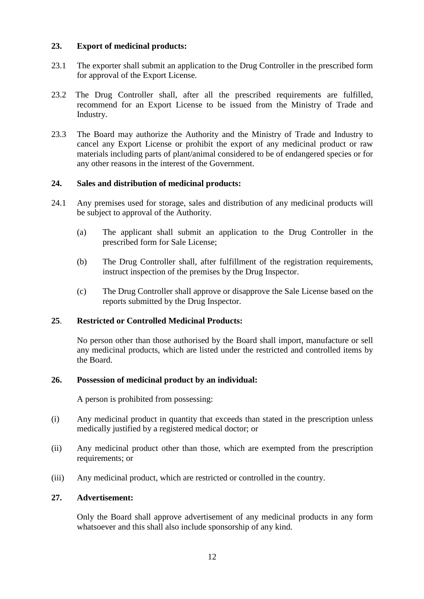# **23. Export of medicinal products:**

- 23.1 The exporter shall submit an application to the Drug Controller in the prescribed form for approval of the Export License.
- 23.2 The Drug Controller shall, after all the prescribed requirements are fulfilled, recommend for an Export License to be issued from the Ministry of Trade and Industry.
- 23.3 The Board may authorize the Authority and the Ministry of Trade and Industry to cancel any Export License or prohibit the export of any medicinal product or raw materials including parts of plant/animal considered to be of endangered species or for any other reasons in the interest of the Government.

# **24. Sales and distribution of medicinal products:**

- 24.1 Any premises used for storage, sales and distribution of any medicinal products will be subject to approval of the Authority.
	- (a) The applicant shall submit an application to the Drug Controller in the prescribed form for Sale License;
	- (b) The Drug Controller shall, after fulfillment of the registration requirements, instruct inspection of the premises by the Drug Inspector.
	- (c) The Drug Controller shall approve or disapprove the Sale License based on the reports submitted by the Drug Inspector.

#### **25**. **Restricted or Controlled Medicinal Products:**

No person other than those authorised by the Board shall import, manufacture or sell any medicinal products, which are listed under the restricted and controlled items by the Board.

# **26. Possession of medicinal product by an individual:**

A person is prohibited from possessing:

- (i) Any medicinal product in quantity that exceeds than stated in the prescription unless medically justified by a registered medical doctor; or
- (ii) Any medicinal product other than those, which are exempted from the prescription requirements; or
- (iii) Any medicinal product, which are restricted or controlled in the country.

# **27. Advertisement:**

Only the Board shall approve advertisement of any medicinal products in any form whatsoever and this shall also include sponsorship of any kind.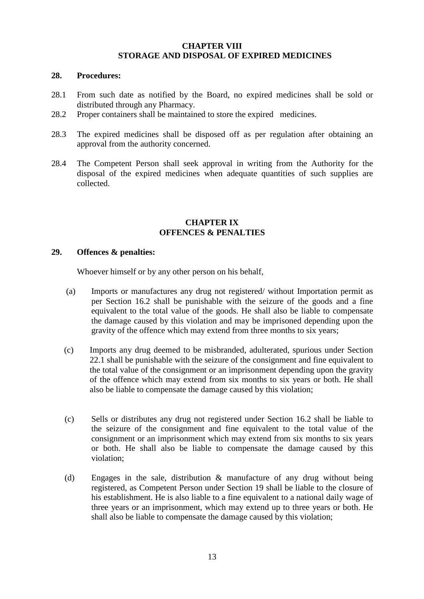#### **CHAPTER VIII STORAGE AND DISPOSAL OF EXPIRED MEDICINES**

#### **28. Procedures:**

- 28.1 From such date as notified by the Board, no expired medicines shall be sold or distributed through any Pharmacy.
- 28.2 Proper containers shall be maintained to store the expired medicines.
- 28.3 The expired medicines shall be disposed off as per regulation after obtaining an approval from the authority concerned.
- 28.4 The Competent Person shall seek approval in writing from the Authority for the disposal of the expired medicines when adequate quantities of such supplies are collected.

#### **CHAPTER IX OFFENCES & PENALTIES**

#### **29. Offences & penalties:**

Whoever himself or by any other person on his behalf,

- (a) Imports or manufactures any drug not registered/ without Importation permit as per Section 16.2 shall be punishable with the seizure of the goods and a fine equivalent to the total value of the goods. He shall also be liable to compensate the damage caused by this violation and may be imprisoned depending upon the gravity of the offence which may extend from three months to six years;
- (c) Imports any drug deemed to be misbranded, adulterated, spurious under Section 22.1 shall be punishable with the seizure of the consignment and fine equivalent to the total value of the consignment or an imprisonment depending upon the gravity of the offence which may extend from six months to six years or both. He shall also be liable to compensate the damage caused by this violation;
- (c) Sells or distributes any drug not registered under Section 16.2 shall be liable to the seizure of the consignment and fine equivalent to the total value of the consignment or an imprisonment which may extend from six months to six years or both. He shall also be liable to compensate the damage caused by this violation;
- (d) Engages in the sale, distribution & manufacture of any drug without being registered, as Competent Person under Section 19 shall be liable to the closure of his establishment. He is also liable to a fine equivalent to a national daily wage of three years or an imprisonment, which may extend up to three years or both. He shall also be liable to compensate the damage caused by this violation;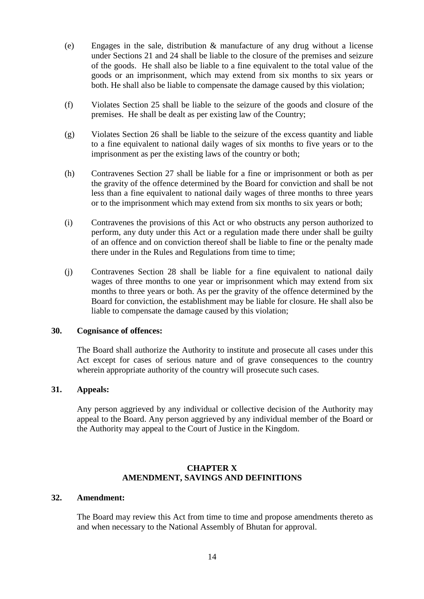- (e) Engages in the sale, distribution & manufacture of any drug without a license under Sections 21 and 24 shall be liable to the closure of the premises and seizure of the goods. He shall also be liable to a fine equivalent to the total value of the goods or an imprisonment, which may extend from six months to six years or both. He shall also be liable to compensate the damage caused by this violation;
- (f) Violates Section 25 shall be liable to the seizure of the goods and closure of the premises. He shall be dealt as per existing law of the Country;
- (g) Violates Section 26 shall be liable to the seizure of the excess quantity and liable to a fine equivalent to national daily wages of six months to five years or to the imprisonment as per the existing laws of the country or both;
- (h) Contravenes Section 27 shall be liable for a fine or imprisonment or both as per the gravity of the offence determined by the Board for conviction and shall be not less than a fine equivalent to national daily wages of three months to three years or to the imprisonment which may extend from six months to six years or both;
- (i) Contravenes the provisions of this Act or who obstructs any person authorized to perform, any duty under this Act or a regulation made there under shall be guilty of an offence and on conviction thereof shall be liable to fine or the penalty made there under in the Rules and Regulations from time to time;
- (j) Contravenes Section 28 shall be liable for a fine equivalent to national daily wages of three months to one year or imprisonment which may extend from six months to three years or both. As per the gravity of the offence determined by the Board for conviction, the establishment may be liable for closure. He shall also be liable to compensate the damage caused by this violation;

#### **30. Cognisance of offences:**

The Board shall authorize the Authority to institute and prosecute all cases under this Act except for cases of serious nature and of grave consequences to the country wherein appropriate authority of the country will prosecute such cases.

#### **31. Appeals:**

Any person aggrieved by any individual or collective decision of the Authority may appeal to the Board. Any person aggrieved by any individual member of the Board or the Authority may appeal to the Court of Justice in the Kingdom.

# **CHAPTER X AMENDMENT, SAVINGS AND DEFINITIONS**

#### **32. Amendment:**

The Board may review this Act from time to time and propose amendments thereto as and when necessary to the National Assembly of Bhutan for approval.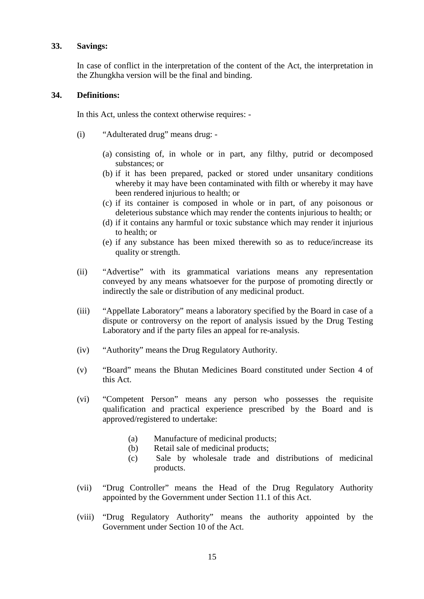#### **33. Savings:**

In case of conflict in the interpretation of the content of the Act, the interpretation in the Zhungkha version will be the final and binding.

#### **34. Definitions:**

In this Act, unless the context otherwise requires: -

- (i) "Adulterated drug" means drug:
	- (a) consisting of, in whole or in part, any filthy, putrid or decomposed substances; or
	- (b) if it has been prepared, packed or stored under unsanitary conditions whereby it may have been contaminated with filth or whereby it may have been rendered injurious to health; or
	- (c) if its container is composed in whole or in part, of any poisonous or deleterious substance which may render the contents injurious to health; or
	- (d) if it contains any harmful or toxic substance which may render it injurious to health; or
	- (e) if any substance has been mixed therewith so as to reduce/increase its quality or strength.
- (ii) "Advertise" with its grammatical variations means any representation conveyed by any means whatsoever for the purpose of promoting directly or indirectly the sale or distribution of any medicinal product.
- (iii) "Appellate Laboratory" means a laboratory specified by the Board in case of a dispute or controversy on the report of analysis issued by the Drug Testing Laboratory and if the party files an appeal for re-analysis.
- (iv) "Authority" means the Drug Regulatory Authority.
- (v) "Board" means the Bhutan Medicines Board constituted under Section 4 of this Act.
- (vi) "Competent Person" means any person who possesses the requisite qualification and practical experience prescribed by the Board and is approved/registered to undertake:
	- (a) Manufacture of medicinal products;
	- (b) Retail sale of medicinal products;
	- (c) Sale by wholesale trade and distributions of medicinal products.
- (vii) "Drug Controller" means the Head of the Drug Regulatory Authority appointed by the Government under Section 11.1 of this Act.
- (viii) "Drug Regulatory Authority" means the authority appointed by the Government under Section 10 of the Act.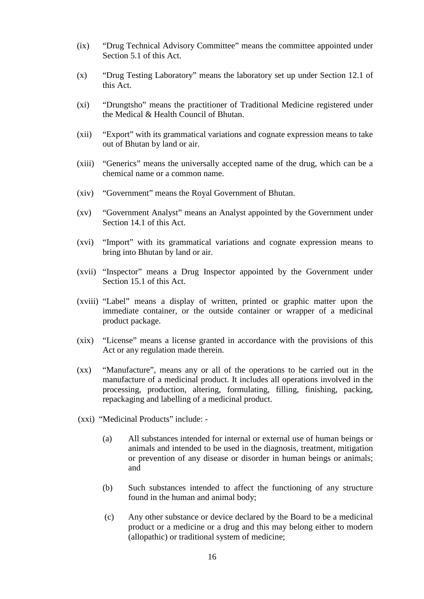- (ix) "Drug Technical Advisory Committee" means the committee appointed under Section 5.1 of this Act.
- (x) "Drug Testing Laboratory" means the laboratory set up under Section 12.1 of this Act.
- (xi) "Drungtsho" means the practitioner of Traditional Medicine registered under the Medical & Health Council of Bhutan.
- (xii) "Export" with its grammatical variations and cognate expression means to take out of Bhutan by land or air.
- (xiii) "Generics" means the universally accepted name of the drug, which can be a chemical name or a common name.
- (xiv) "Government" means the Royal Government of Bhutan.
- (xv) "Government Analyst" means an Analyst appointed by the Government under Section 14.1 of this Act.
- (xvi) "Import" with its grammatical variations and cognate expression means to bring into Bhutan by land or air.
- (xvii) "Inspector" means a Drug Inspector appointed by the Government under Section 15.1 of this Act.
- (xviii) "Label" means a display of written, printed or graphic matter upon the immediate container, or the outside container or wrapper of a medicinal product package.
- (xix) "License" means a license granted in accordance with the provisions of this Act or any regulation made therein.
- (xx) "Manufacture", means any or all of the operations to be carried out in the manufacture of a medicinal product. It includes all operations involved in the processing, production, altering, formulating, filling, finishing, packing, repackaging and labelling of a medicinal product.
- (xxi) "Medicinal Products" include:
	- (a) All substances intended for internal or external use of human beings or animals and intended to be used in the diagnosis, treatment, mitigation or prevention of any disease or disorder in human beings or animals; and
	- (b) Such substances intended to affect the functioning of any structure found in the human and animal body;
	- (c) Any other substance or device declared by the Board to be a medicinal product or a medicine or a drug and this may belong either to modern (allopathic) or traditional system of medicine;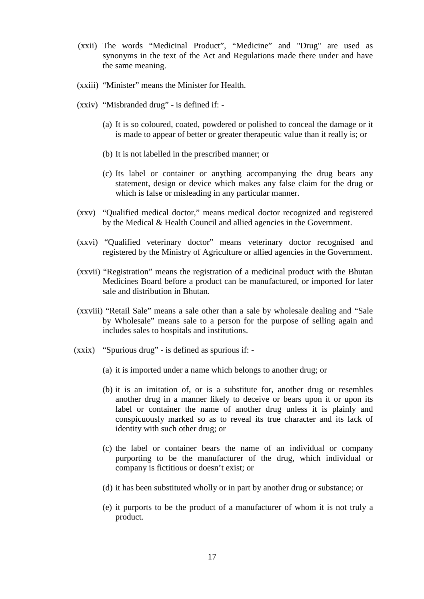- (xxii) The words "Medicinal Product", "Medicine" and "Drug" are used as synonyms in the text of the Act and Regulations made there under and have the same meaning.
- (xxiii) "Minister" means the Minister for Health.
- (xxiv) "Misbranded drug" is defined if:
	- (a) It is so coloured, coated, powdered or polished to conceal the damage or it is made to appear of better or greater therapeutic value than it really is; or
	- (b) It is not labelled in the prescribed manner; or
	- (c) Its label or container or anything accompanying the drug bears any statement, design or device which makes any false claim for the drug or which is false or misleading in any particular manner.
- (xxv) "Qualified medical doctor," means medical doctor recognized and registered by the Medical & Health Council and allied agencies in the Government.
- (xxvi) "Qualified veterinary doctor" means veterinary doctor recognised and registered by the Ministry of Agriculture or allied agencies in the Government.
- (xxvii) "Registration" means the registration of a medicinal product with the Bhutan Medicines Board before a product can be manufactured, or imported for later sale and distribution in Bhutan.
- (xxviii) "Retail Sale" means a sale other than a sale by wholesale dealing and "Sale by Wholesale" means sale to a person for the purpose of selling again and includes sales to hospitals and institutions.
- (xxix) "Spurious drug" is defined as spurious if:
	- (a) it is imported under a name which belongs to another drug; or
	- (b) it is an imitation of, or is a substitute for, another drug or resembles another drug in a manner likely to deceive or bears upon it or upon its label or container the name of another drug unless it is plainly and conspicuously marked so as to reveal its true character and its lack of identity with such other drug; or
	- (c) the label or container bears the name of an individual or company purporting to be the manufacturer of the drug, which individual or company is fictitious or doesn't exist; or
	- (d) it has been substituted wholly or in part by another drug or substance; or
	- (e) it purports to be the product of a manufacturer of whom it is not truly a product.